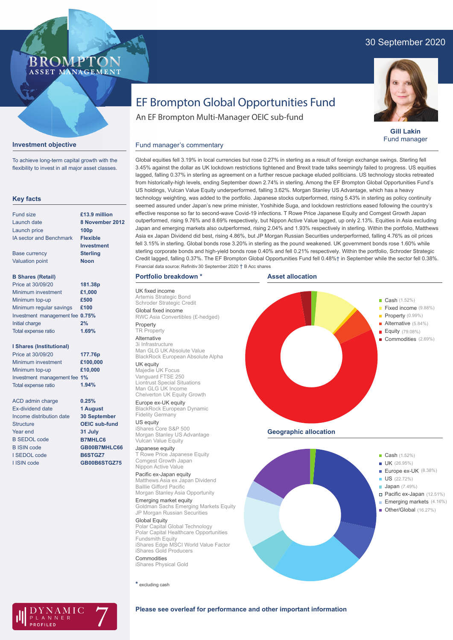# 30 September 2020





**Gill Lakin** Fund manager

# EF Brompton Global Opportunities Fund

An EF Brompton Multi-Manager OEIC sub-fund

# **Investment objective**

To achieve long-term capital growth with the flexibility to invest in all major asset classes.

#### **Key facts**

| <b>Fund size</b>                | £13.9 million    |
|---------------------------------|------------------|
| Launch date                     | 8 November 2012  |
| Launch price                    | 100 <sub>p</sub> |
| <b>IA sector and Benchmark</b>  | <b>Flexible</b>  |
|                                 | Investment       |
| <b>Base currency</b>            | <b>Sterling</b>  |
| <b>Valuation point</b>          | <b>Noon</b>      |
| <b>B Shares (Retail)</b>        |                  |
| Price at 30/09/20               | 181.38p          |
| Minimum investment              | £1,000           |
| Minimum top-up                  | £500             |
| Minimum regular savings         | £100             |
| Investment management fee 0.75% |                  |
| Initial charge                  | 2%               |
| <b>Total expense ratio</b>      | 1.69%            |

#### **I Shares (Institutional)**

Minimum investment Minimum top-up Investment management fee **1%** Total expense ratio **£100,000 £10,000 177.76p** Price at 30/09/20 **1.94%**

> **0.25% 1 August 30 September OEIC sub-fund 31 July B7MHLC6 GB00B7MHLC66 B6STGZ7 GB00B6STGZ75**

ACD admin charge Ex-dividend date Income distribution date **Structure** Year end B SEDOL code B ISIN code I SEDOL code I ISIN code

Fund manager's commentary Global equities fell 3.19% in local currencies but rose 0.27% in sterling as a result of foreign exchange swings. Sterling fell 3.45% against the dollar as UK lockdown restrictions tightened and Brexit trade talks seemingly failed to progress. US equities lagged, falling 0.37% in sterling as agreement on a further rescue package eluded politicians. US technology stocks retreated from historically-high levels, ending September down 2.74% in sterling. Among the EF Brompton Global Opportunities Fund's US holdings, Vulcan Value Equity underperformed, falling 3.62%. Morgan Stanley US Advantage, which has a heavy technology weighting, was added to the portfolio. Japanese stocks outperformed, rising 5.43% in sterling as policy continuity seemed assured under Japan's new prime minister, Yoshihide Suga, and lockdown restrictions eased following the country's effective response so far to second-wave Covid-19 infections. T Rowe Price Japanese Equity and Comgest Growth Japan outperformed, rising 9.76% and 8.69% respectively, but Nippon Active Value lagged, up only 2.13%. Equities in Asia excluding Japan and emerging markets also outperformed, rising 2.04% and 1.93% respectively in sterling. Within the portfolio, Matthews Asia ex Japan Dividend did best, rising 4.86%, but JP Morgan Russian Securities underperformed, falling 4.76% as oil prices fell 3.15% in sterling. Global bonds rose 3.20% in sterling as the pound weakened. UK government bonds rose 1.60% while sterling corporate bonds and high-yield bonds rose 0.40% and fell 0.21% respectively. Within the portfolio, Schroder Strategic Credit lagged, falling 0.37%. The EF Brompton Global Opportunities Fund fell 0.48%† in September while the sector fell 0.38%. Financial data source: Refinitiv 30 September 2020 † B Acc shares

**Asset allocation**

#### **Portfolio breakdown \***

UK fixed income Artemis Strategic Bond Schroder Strategic Credit Global fixed income RWC Asia Convertibles (£-hedged) Property

#### **TR** Property

Alternative 3i Infrastructure Man GLG UK Absolute Value BlackRock European Absolute Alpha

## UK equity

Majedie UK Focus Vanguard FTSE 250 Liontrust Special Situations Man GLG UK Income Chelverton UK Equity Growth

Europe ex-UK equity BlackRock European Dynamic Fidelity Germany

US equity iShares Core S&P 500 Morgan Stanley US Advantage Vulcan Value Equity

Japanese equity T Rowe Price Japanese Equity Comgest Growth Japan Nippon Active Value

# Pacific ex-Japan equity

Matthews Asia ex Japan Dividend Baillie Gifford Pacific Morgan Stanley Asia Opportunity

Emerging market equity Goldman Sachs Emerging Markets Equity JP Morgan Russian Securities

#### Global Equity Polar Capital Global Technology

Polar Capital Healthcare Opportunities Fundsmith Equity iShares Edge MSCI World Value Factor iShares Gold Producers **Commodities** 

iShares Physical Gold

## **\*** excluding cash



**Geographic allocation**



Cash (1.52%)

Cash (1.52%) Fixed income (9.88%) Property (0.99%) Alternative (5.84%) Equity (79.08%) Commodities (2.69%)

- Emerging markets (4.16%)
- Other/Global (16.27%)



### **Please see overleaf for performance and other important information**